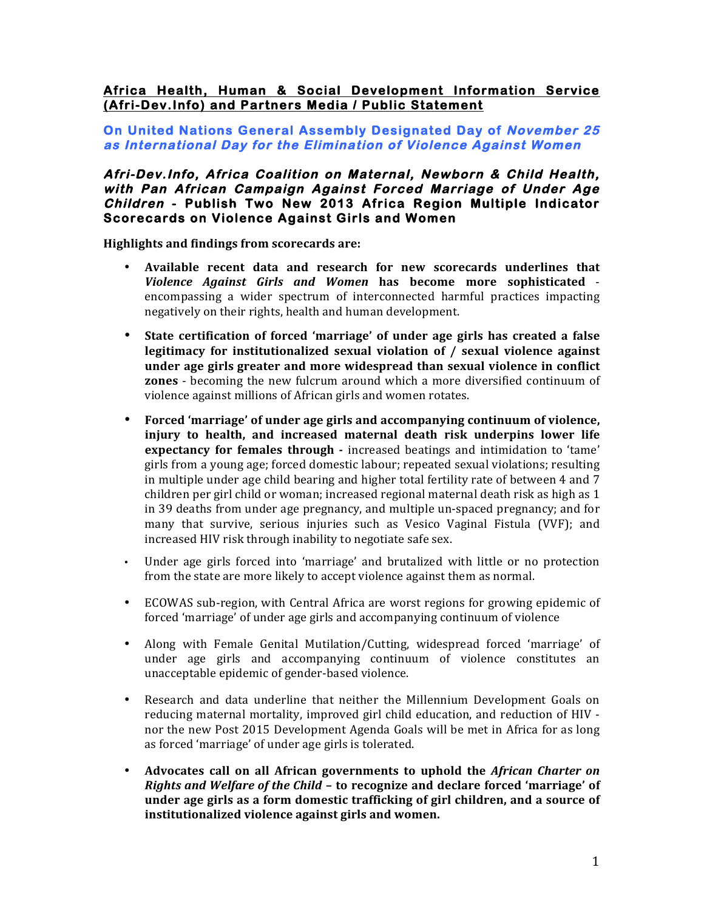## **Africa Health, Human & Social Development Information Service (Afri-Dev.Info) and Partners Media / Public Statement**

#### **On United Nations General Assembly Designated Day of November 25 as International Day for the Elimination of Violence Against Women**

#### **Afri-Dev.Info, Africa Coalition on Maternal, Newborn & Child Health, with Pan African Campaign Against Forced Marriage of Under Age Children - Publish Two New 2013 Africa Region Multiple Indicator Scorecards on Violence Against Girls and Women**

**Highlights and findings from scorecards are:** 

- Available recent data and research for new scorecards underlines that *Violence Against Girls and Women*  **has become more sophisticated** encompassing a wider spectrum of interconnected harmful practices impacting negatively on their rights, health and human development.
- State certification of forced 'marriage' of under age girls has created a false **legitimacy for institutionalized sexual violation of / sexual violence against under age girls greater and more widespread than sexual violence in conflict zones** - becoming the new fulcrum around which a more diversified continuum of violence against millions of African girls and women rotates.
- Forced 'marriage' of under age girls and accompanying continuum of violence, **injury** to health, and increased maternal death risk underpins lower life **expectancy for females through** - increased beatings and intimidation to 'tame' girls from a young age; forced domestic labour; repeated sexual violations; resulting in multiple under age child bearing and higher total fertility rate of between  $4$  and  $7$ children per girl child or woman; increased regional maternal death risk as high as 1 in 39 deaths from under age pregnancy, and multiple un-spaced pregnancy; and for many that survive, serious injuries such as Vesico Vaginal Fistula (VVF); and increased HIV risk through inability to negotiate safe sex.
- Under age girls forced into 'marriage' and brutalized with little or no protection from the state are more likely to accept violence against them as normal.
- ECOWAS sub-region, with Central Africa are worst regions for growing epidemic of forced 'marriage' of under age girls and accompanying continuum of violence
- Along with Female Genital Mutilation/Cutting, widespread forced 'marriage' of under age girls and accompanying continuum of violence constitutes an unacceptable epidemic of gender-based violence.
- Research and data underline that neither the Millennium Development Goals on reducing maternal mortality, improved girl child education, and reduction of HIV nor the new Post 2015 Development Agenda Goals will be met in Africa for as long as forced 'marriage' of under age girls is tolerated.
- Advocates call on all African governments to uphold the *African Charter on Rights* and *Welfare of the Child* – to recognize and declare forced 'marriage' of under age girls as a form domestic trafficking of girl children, and a source of institutionalized violence against girls and women.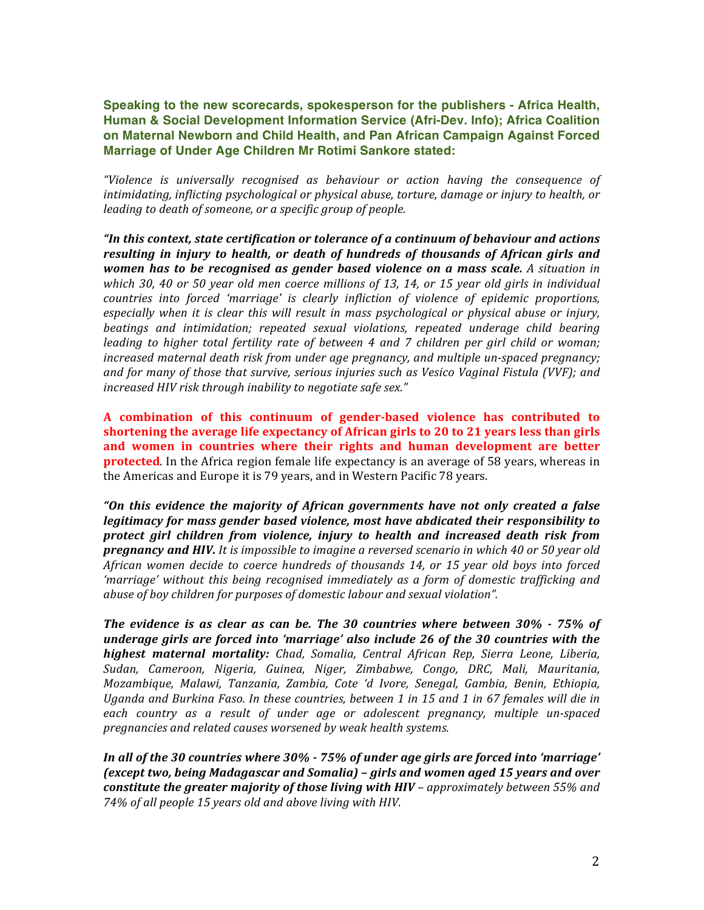**Speaking to the new scorecards, spokesperson for the publishers - Africa Health, Human & Social Development Information Service (Afri-Dev. Info); Africa Coalition on Maternal Newborn and Child Health, and Pan African Campaign Against Forced Marriage of Under Age Children Mr Rotimi Sankore stated:**

*"Violence is universally recognised as behaviour or action having the consequence of intimidating, inflicting psychological or physical abuse, torture, damage or injury to health, or leading* to death of someone, or a specific group of people.

"In this context, state certification or tolerance of a continuum of behaviour and actions *resulting in injury to health, or death of hundreds of thousands of African girls and women has to be recognised as gender based violence on a mass scale. A situation in which* 30, 40 or 50 year old men coerce millions of 13, 14, or 15 year old girls in individual *countries into forced 'marriage' is clearly infliction of violence of epidemic proportions, especially* when it is clear this will result in mass psychological or physical abuse or injury, beatings and intimidation; repeated sexual violations, repeated underage child bearing *leading to higher total fertility rate of between* 4 and 7 children per girl child or woman; *increased maternal death risk from under age pregnancy, and multiple un-spaced pregnancy;* and for many of those that survive, serious injuries such as Vesico Vaginal Fistula (VVF); and *increased HIV risk through inability to negotiate safe sex."* 

**A combination of this continuum of gender-based violence has contributed to shortening the average life expectancy of African girls to 20 to 21 years less than girls** and women in countries where their rights and human development are better **protected**. In the Africa region female life expectancy is an average of 58 years, whereas in the Americas and Europe it is 79 years, and in Western Pacific 78 years.

"On this evidence the majority of African governments have not only created a false *legitimacy for mass gender based violence, most have abdicated their responsibility to protect girl children from violence, injury to health and increased death risk from*  **pregnancy and HIV.** It is impossible to imagine a reversed scenario in which 40 or 50 year old *African women decide to coerce hundreds of thousands 14, or 15 year old boys into forced 'marriage'* without this being recognised immediately as a form of domestic trafficking and *abuse of boy children for purposes of domestic labour and sexual violation".* 

*The evidence is as clear as can be. The 30 countries where between 30% - 75% of underage girls are forced into 'marriage' also include 26 of the 30 countries with the* highest maternal mortality: Chad, Somalia, Central African Rep, Sierra Leone, Liberia, *Sudan, Cameroon, Nigeria, Guinea, Niger, Zimbabwe, Congo, DRC, Mali, Mauritania, Mozambique, Malawi, Tanzania, Zambia, Cote 'd Ivore, Senegal, Gambia, Benin, Ethiopia, Uganda and Burkina Faso. In these countries, between 1 in 15 and 1 in 67 females will die in each country as a result of under age or adolescent pregnancy, multiple un-spaced pregnancies and related causes worsened by weak health systems.*

In all of the 30 countries where 30% - 75% of under age girls are forced into 'marriage' *(except two, being Madagascar and Somalia)* – *girls and women aged 15 years and over constitute the greater majority of those living with HIV – approximately between* **55% and** 74% of all people 15 years old and above living with HIV.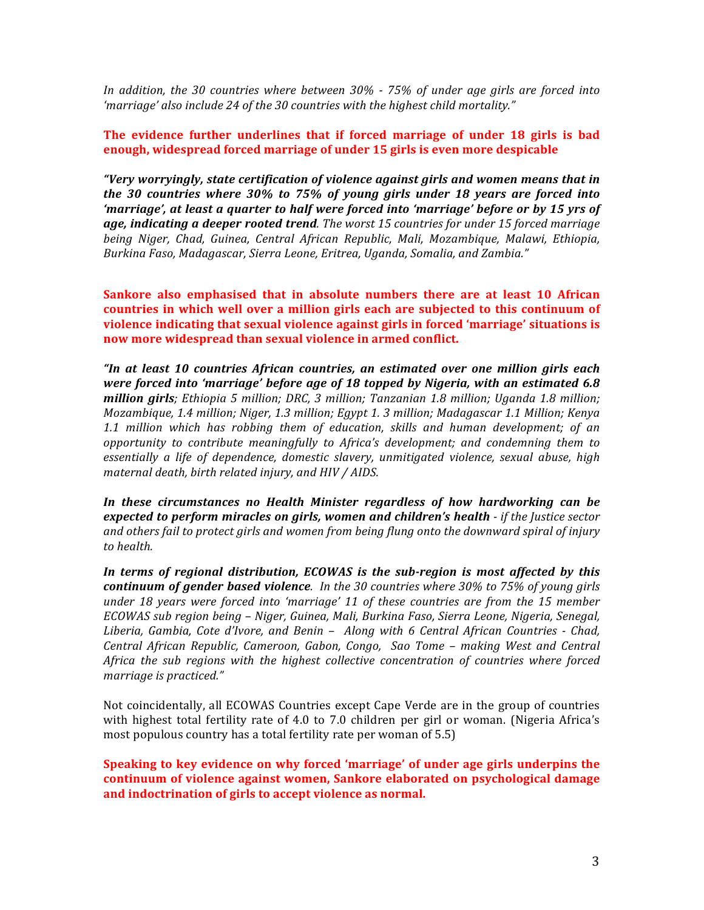*In* addition, the 30 countries where between 30% - 75% of under age girls are forced into 'marriage' also include 24 of the 30 countries with the highest child mortality."

#### **The evidence further underlines that if forced marriage of under 18 girls is bad enough, widespread forced marriage of under 15 girls is even more despicable**

*"Very worryingly, state certification of violence against girls and women means that in the* 30 countries where 30% to 75% of young girls under 18 years are forced into *'marriage', at least a quarter to half were forced into 'marriage' before or by 15 yrs of age, indicating a deeper rooted trend. The worst 15 countries for under 15 forced marriage being Niger, Chad, Guinea, Central African Republic, Mali, Mozambique, Malawi, Ethiopia, Burkina Faso, Madagascar, Sierra Leone, Eritrea, Uganda, Somalia, and Zambia."*

**Sankore** also emphasised that in absolute numbers there are at least 10 African countries in which well over a million girls each are subjected to this continuum of **violence indicating that sexual violence against girls in forced 'marriage' situations is** now more widespread than sexual violence in armed conflict.

*"In at least 10 countries African countries, an estimated over one million girls each were forced into 'marriage' before age of 18 topped by Nigeria, with an estimated 6.8 million girls;* Ethiopia 5 million; DRC, 3 million; Tanzanian 1.8 million; Uganda 1.8 million; *Mozambique, 1.4 million; Niger, 1.3 million; Egypt 1. 3 million; Madagascar 1.1 Million; Kenya 1.1 million which has robbing them of education, skills and human development; of an opportunity* to contribute meaningfully to Africa's development; and condemning them to *essentially a life of dependence, domestic slavery, unmitigated violence, sexual abuse, high maternal death, birth related injury, and HIV / AIDS.*

In these circumstances no Health Minister regardless of how hardworking can be *expected to perform miracles on girls, women and children's health - if the Justice sector* and others fail to protect girls and women from being flung onto the downward spiral of injury *to health.*

In terms of regional distribution, *ECOWAS* is the sub-region is most affected by this *continuum of gender based violence. In the 30 countries where 30% to 75% of young girls under* 18 years were forced into 'marriage' 11 of these countries are from the 15 member *ECOWAS* sub region being – Niger, Guinea, Mali, Burkina Faso, Sierra Leone, Nigeria, Senegal, *Liberia, Gambia, Cote d'Ivore, and Benin – Along with 6 Central African Countries - Chad, Central African Republic, Cameroon, Gabon, Congo, Sao Tome – making West and Central Africa* the sub regions with the highest collective concentration of countries where forced *marriage is practiced."*

Not coincidentally, all ECOWAS Countries except Cape Verde are in the group of countries with highest total fertility rate of 4.0 to 7.0 children per girl or woman. (Nigeria Africa's most populous country has a total fertility rate per woman of  $5.5$ )

**Speaking to key evidence on why forced 'marriage' of under age girls underpins the continuum of violence against women, Sankore elaborated on psychological damage** and indoctrination of girls to accept violence as normal.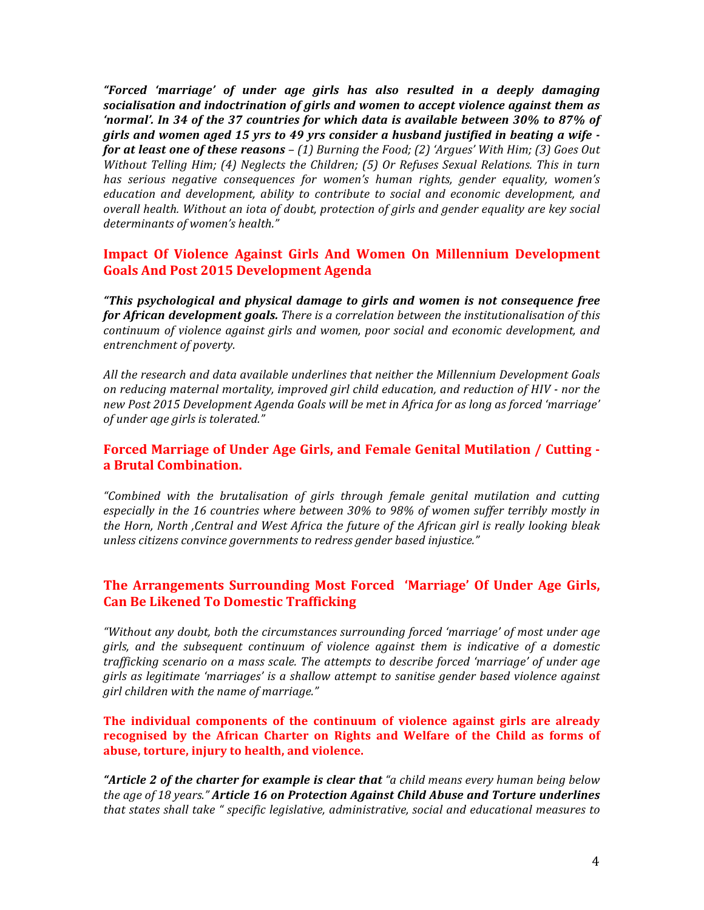*"Forced 'marriage' of under age girls has also resulted in a deeply damaging socialisation and indoctrination of girls and women to accept violence against them as* 'normal'. In 34 of the 37 countries for which data is available between 30% to 87% of girls and women aged 15 yrs to 49 yrs consider a husband justified in beating a wife *for at least one of these reasons* – (1) Burning the Food; (2) 'Argues' With Him; (3) Goes Out *Without Telling Him; (4) Neglects the Children; (5) Or Refuses Sexual Relations. This in turn* has serious negative consequences for women's human rights, gender equality, women's *education and development, ability to contribute to social and economic development, and overall health.* Without an iota of doubt, protection of girls and gender equality are key social determinants of women's health."

# **Impact Of Violence Against Girls And Women On Millennium Development Goals And Post 2015 Development Agenda**

*"This psychological and physical damage to girls and women is not consequence free*  **for African development goals.** There is a correlation between the institutionalisation of this *continuum of violence against girls and women, poor social and economic development, and entrenchment of poverty.*

All the research and data available underlines that neither the Millennium Development Goals *on reducing maternal mortality, improved girl child education, and reduction of HIV - nor the* new Post 2015 Development Agenda Goals will be met in Africa for as long as forced 'marriage' *of under age girls is tolerated."*

## **Forced Marriage of Under Age Girls, and Female Genital Mutilation / Cutting a Brutal Combination.**

*"Combined with the brutalisation of girls through female genital mutilation and cutting*  especially in the 16 countries where between 30% to 98% of women suffer terribly mostly in *the Horn, North ,Central and West Africa the future of the African girl is really looking bleak unless citizens convince governments to redress gender based injustice."* 

## **The Arrangements Surrounding Most Forced 'Marriage' Of Under Age Girls, Can Be Likened To Domestic Trafficking**

"Without any doubt, both the circumstances surrounding forced 'marriage' of most under age girls, and the subsequent continuum of violence against them is indicative of a domestic trafficking scenario on a mass scale. The attempts to describe forced 'marriage' of under age *girls* as legitimate 'marriages' is a shallow attempt to sanitise gender based violence against *girl* children with the name of marriage."

**The individual components of the continuum of violence against girls are already** recognised by the African Charter on Rights and Welfare of the Child as forms of abuse, torture, injury to health, and violence.

**"Article 2 of the charter for example is clear that** "a child means every human being below the age of 18 years." **Article 16 on Protection Against Child Abuse and Torture underlines** *that* states shall take " specific legislative, administrative, social and educational measures to